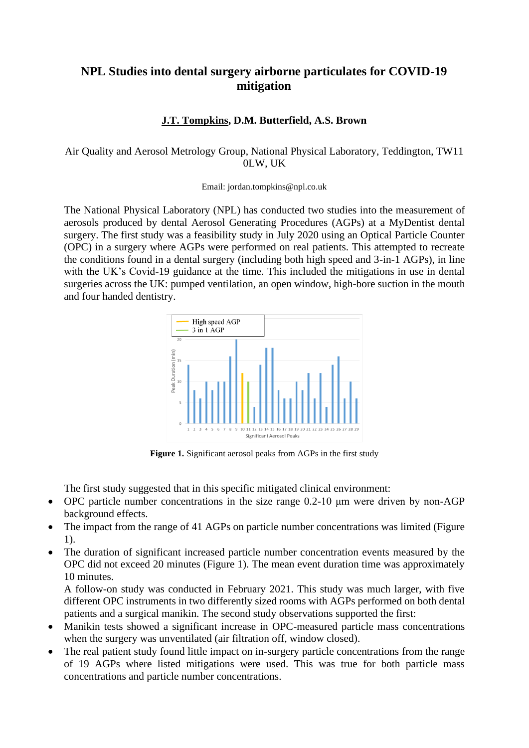## **NPL Studies into dental surgery airborne particulates for COVID-19 mitigation**

## **J.T. Tompkins, D.M. Butterfield, A.S. Brown**

## Air Quality and Aerosol Metrology Group, National Physical Laboratory, Teddington, TW11 0LW, UK

## Email: [jordan.tompkins@npl.co.uk](mailto:jordan.tompkins@npl.co.uk)

The National Physical Laboratory (NPL) has conducted two studies into the measurement of aerosols produced by dental Aerosol Generating Procedures (AGPs) at a MyDentist dental surgery. The first study was a feasibility study in July 2020 using an Optical Particle Counter (OPC) in a surgery where AGPs were performed on real patients. This attempted to recreate the conditions found in a dental surgery (including both high speed and 3-in-1 AGPs), in line with the UK's Covid-19 guidance at the time. This included the mitigations in use in dental surgeries across the UK: pumped ventilation, an open window, high-bore suction in the mouth and four handed dentistry.



**Figure 1.** Significant aerosol peaks from AGPs in the first study

The first study suggested that in this specific mitigated clinical environment:

- OPC particle number concentrations in the size range 0.2-10 μm were driven by non-AGP background effects.
- The impact from the range of 41 AGPs on particle number concentrations was limited (Figure 1).
- The duration of significant increased particle number concentration events measured by the OPC did not exceed 20 minutes (Figure 1). The mean event duration time was approximately 10 minutes.

A follow-on study was conducted in February 2021. This study was much larger, with five different OPC instruments in two differently sized rooms with AGPs performed on both dental patients and a surgical manikin. The second study observations supported the first:

- Manikin tests showed a significant increase in OPC-measured particle mass concentrations when the surgery was unventilated (air filtration off, window closed).
- The real patient study found little impact on in-surgery particle concentrations from the range of 19 AGPs where listed mitigations were used. This was true for both particle mass concentrations and particle number concentrations.